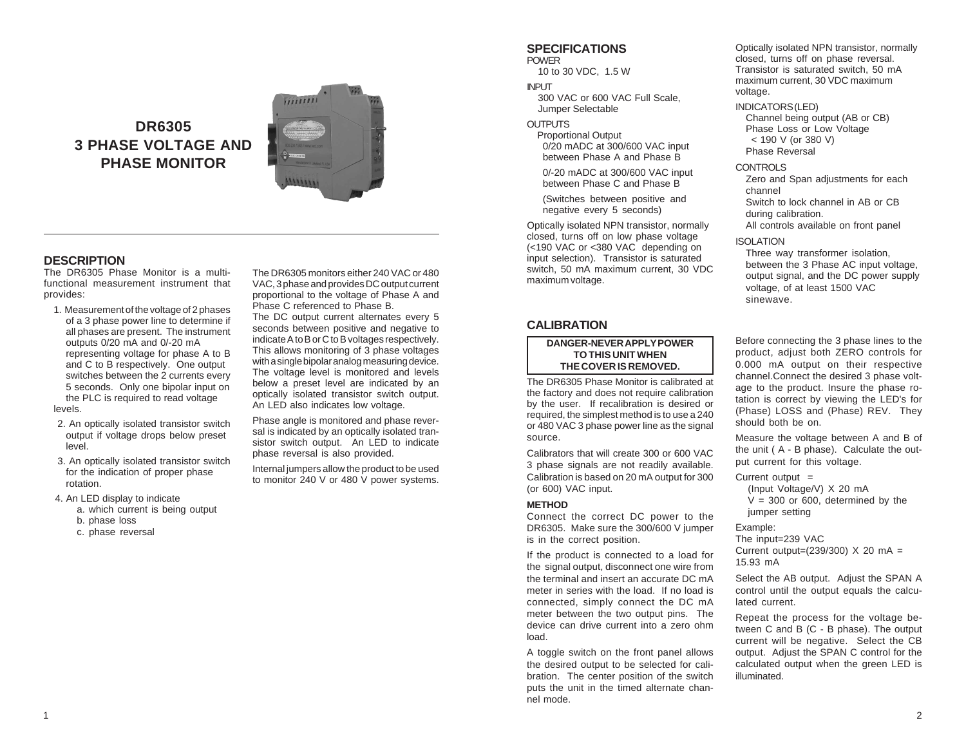**DR6305 3 PHASE VOLTAGE AND PHASE MONITOR**



### **DESCRIPTION**

The DR6305 Phase Monitor is a multifunctional measurement instrument that provides:

- 1. Measurement of the voltage of 2 phases of a 3 phase power line to determine if all phases are present. The instrument outputs 0/20 mA and 0/-20 mA representing voltage for phase A to B and C to B respectively. One output switches between the 2 currents every 5 seconds. Only one bipolar input on the PLC is required to read voltage levels.
- 2. An optically isolated transistor switch output if voltage drops below preset level.
- 3. An optically isolated transistor switch for the indication of proper phase rotation.
- 4. An LED display to indicate
	- a. which current is being output
	- b. phase loss
	- c. phase reversal

The DR6305 monitors either 240 VAC or 480 VAC, 3 phase and provides DC output current proportional to the voltage of Phase A and Phase C referenced to Phase B.

The DC output current alternates every 5 seconds between positive and negative to indicate A to B or C to B voltages respectively. This allows monitoring of 3 phase voltages with a single bipolar analog measuring device. The voltage level is monitored and levels below a preset level are indicated by an optically isolated transistor switch output. An LED also indicates low voltage.

Phase angle is monitored and phase reversal is indicated by an optically isolated transistor switch output. An LED to indicate phase reversal is also provided.

Internal jumpers allow the product to be used to monitor 240 V or 480 V power systems.

#### **SPECIFICATIONS** POWER

10 to 30 VDC, 1.5 W

### INPUT

300 VAC or 600 VAC Full Scale, Jumper Selectable

### **OUTPUTS**

Proportional Output 0/20 mADC at 300/600 VAC input between Phase A and Phase B

0/-20 mADC at 300/600 VAC input between Phase C and Phase B

(Switches between positive and negative every 5 seconds)

Optically isolated NPN transistor, normally closed, turns off on low phase voltage (<190 VAC or <380 VAC depending on input selection). Transistor is saturated switch, 50 mA maximum current, 30 VDC maximum voltage.

# **CALIBRATION**

**DANGER-NEVER APPLY POWER TO THIS UNIT WHEN THE COVER IS REMOVED.**

The DR6305 Phase Monitor is calibrated at the factory and does not require calibration by the user. If recalibration is desired or required, the simplest method is to use a 240 or 480 VAC 3 phase power line as the signal source.

Calibrators that will create 300 or 600 VAC 3 phase signals are not readily available. Calibration is based on 20 mA output for 300 (or 600) VAC input.

### **METHOD**

Connect the correct DC power to the DR6305. Make sure the 300/600 V jumper is in the correct position.

If the product is connected to a load for the signal output, disconnect one wire from the terminal and insert an accurate DC mA meter in series with the load. If no load is connected, simply connect the DC mA meter between the two output pins. The device can drive current into a zero ohm load.

A toggle switch on the front panel allows the desired output to be selected for calibration. The center position of the switch puts the unit in the timed alternate channel mode.

Optically isolated NPN transistor, normally closed, turns off on phase reversal. Transistor is saturated switch, 50 mA maximum current, 30 VDC maximum voltage.

#### INDICATORS (LED)

Channel being output (AB or CB) Phase Loss or Low Voltage < 190 V (or 380 V) Phase Reversal

#### **CONTROLS**

Zero and Span adjustments for each channel Switch to lock channel in AB or CB during calibration. All controls available on front panel

### ISOLATION

Three way transformer isolation, between the 3 Phase AC input voltage, output signal, and the DC power supply voltage, of at least 1500 VAC sinewave.

Before connecting the 3 phase lines to the product, adjust both ZERO controls for 0.000 mA output on their respective channel.Connect the desired 3 phase voltage to the product. Insure the phase rotation is correct by viewing the LED's for (Phase) LOSS and (Phase) REV. They should both be on.

Measure the voltage between A and B of the unit ( A - B phase). Calculate the output current for this voltage.

Current output  $=$ 

(Input Voltage/V) X 20 mA  $V = 300$  or 600, determined by the jumper setting

Example: The input=239 VAC

Current output= $(239/300)$  X 20 mA = 15.93 mA

Select the AB output. Adjust the SPAN A control until the output equals the calculated current.

Repeat the process for the voltage between C and B (C - B phase). The output current will be negative. Select the CB output. Adjust the SPAN C control for the calculated output when the green LED is illuminated.